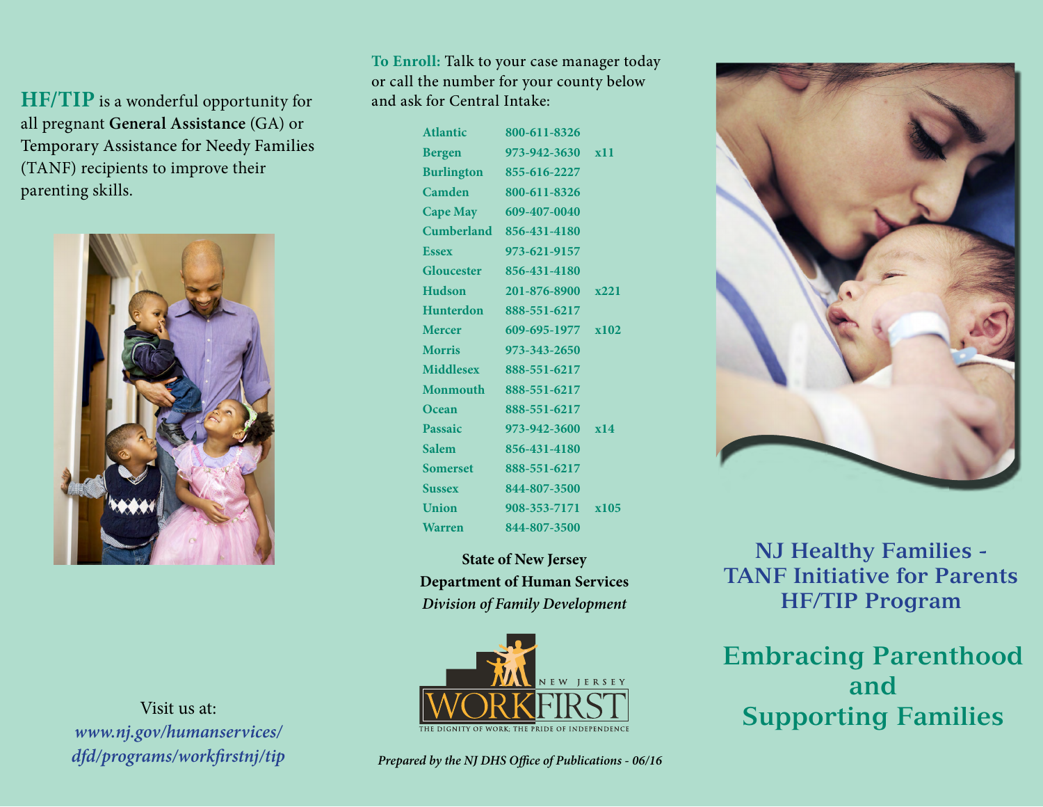**HF/TIP** is a wonderful opportunity for all pregnant **General Assistance** (GA) or Temporary Assistance for Needy Families (TANF) recipients to improve their parenting skills.



Visit us at: *www.nj.gov/humanservices/ dfd/programs/workfirstnj/tip* **To Enroll:** Talk to your case manager today or call the number for your county below and ask for Central Intake:

| <b>Atlantic</b>   | 800-611-8326            |      |
|-------------------|-------------------------|------|
| <b>Bergen</b>     | 973-942-3630 x11        |      |
| <b>Burlington</b> | 855-616-2227            |      |
| Camden            | 800-611-8326            |      |
| <b>Cape May</b>   | 609-407-0040            |      |
|                   | Cumberland 856-431-4180 |      |
| <b>Essex</b>      | 973-621-9157            |      |
| Gloucester        | 856-431-4180            |      |
| <b>Hudson</b>     | 201-876-8900 x221       |      |
| <b>Hunterdon</b>  | 888-551-6217            |      |
| <b>Mercer</b>     | 609-695-1977 x102       |      |
| <b>Morris</b>     | 973-343-2650            |      |
| <b>Middlesex</b>  | 888-551-6217            |      |
| <b>Monmouth</b>   | 888-551-6217            |      |
| Ocean             | 888-551-6217            |      |
| Passaic           | 973-942-3600            | x14  |
| <b>Salem</b>      | 856-431-4180            |      |
| <b>Somerset</b>   | 888-551-6217            |      |
| <b>Sussex</b>     | 844-807-3500            |      |
| Union             | 908-353-7171            | x105 |
| <b>Warren</b>     | 844-807-3500            |      |

**State of New Jersey Department of Human Services** *Division of Family Development*



**NJ Healthy Families - TANF Initiative for Parents HF/TIP Program**

**Embracing Parenthood and Supporting Families**

*Prepared by the NJ DHS Office of Publications - 06/16*